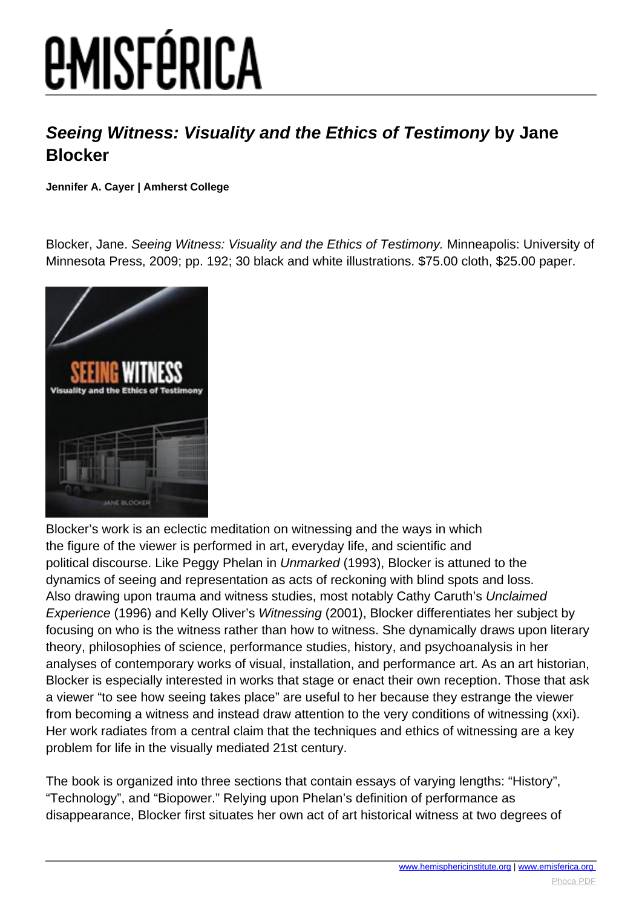## *EMISFÉRICA*

## **Seeing Witness: Visuality and the Ethics of Testimony by Jane Blocker**

**Jennifer A. Cayer | Amherst College**

Blocker, Jane. Seeing Witness: Visuality and the Ethics of Testimony. Minneapolis: University of Minnesota Press, 2009; pp. 192; 30 black and white illustrations. \$75.00 cloth, \$25.00 paper.



Blocker's work is an eclectic meditation on witnessing and the ways in which the figure of the viewer is performed in art, everyday life, and scientific and political discourse. Like Peggy Phelan in Unmarked (1993), Blocker is attuned to the dynamics of seeing and representation as acts of reckoning with blind spots and loss. Also drawing upon trauma and witness studies, most notably Cathy Caruth's Unclaimed Experience (1996) and Kelly Oliver's Witnessing (2001), Blocker differentiates her subject by focusing on who is the witness rather than how to witness. She dynamically draws upon literary theory, philosophies of science, performance studies, history, and psychoanalysis in her analyses of contemporary works of visual, installation, and performance art. As an art historian, Blocker is especially interested in works that stage or enact their own reception. Those that ask a viewer "to see how seeing takes place" are useful to her because they estrange the viewer from becoming a witness and instead draw attention to the very conditions of witnessing (xxi). Her work radiates from a central claim that the techniques and ethics of witnessing are a key problem for life in the visually mediated 21st century.

The book is organized into three sections that contain essays of varying lengths: "History", "Technology", and "Biopower." Relying upon Phelan's definition of performance as disappearance, Blocker first situates her own act of art historical witness at two degrees of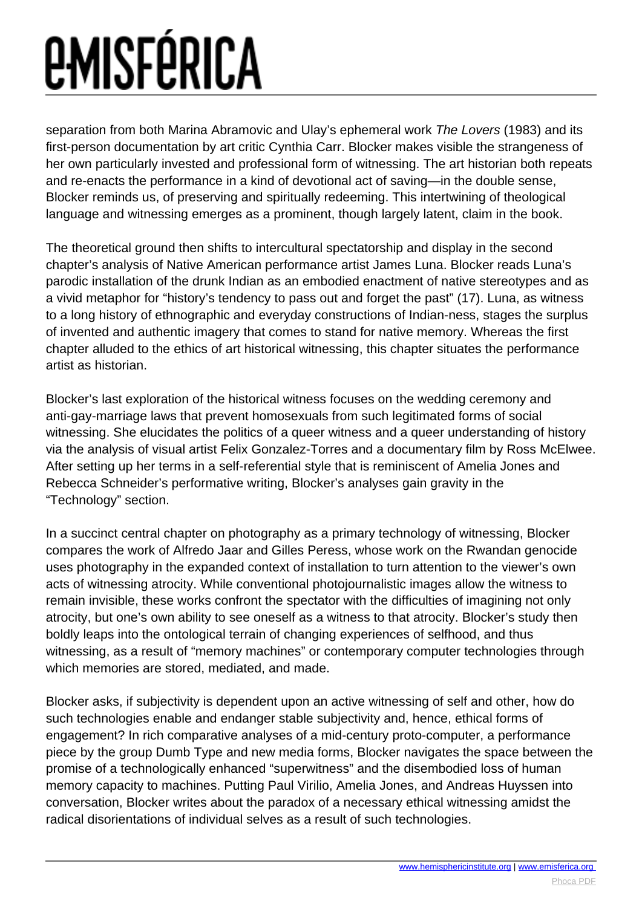## *<u>EMISFÉRICA</u>*

separation from both Marina Abramovic and Ulay's ephemeral work The Lovers (1983) and its first-person documentation by art critic Cynthia Carr. Blocker makes visible the strangeness of her own particularly invested and professional form of witnessing. The art historian both repeats and re-enacts the performance in a kind of devotional act of saving—in the double sense, Blocker reminds us, of preserving and spiritually redeeming. This intertwining of theological language and witnessing emerges as a prominent, though largely latent, claim in the book.

The theoretical ground then shifts to intercultural spectatorship and display in the second chapter's analysis of Native American performance artist James Luna. Blocker reads Luna's parodic installation of the drunk Indian as an embodied enactment of native stereotypes and as a vivid metaphor for "history's tendency to pass out and forget the past" (17). Luna, as witness to a long history of ethnographic and everyday constructions of Indian-ness, stages the surplus of invented and authentic imagery that comes to stand for native memory. Whereas the first chapter alluded to the ethics of art historical witnessing, this chapter situates the performance artist as historian.

Blocker's last exploration of the historical witness focuses on the wedding ceremony and anti-gay-marriage laws that prevent homosexuals from such legitimated forms of social witnessing. She elucidates the politics of a queer witness and a queer understanding of history via the analysis of visual artist Felix Gonzalez-Torres and a documentary film by Ross McElwee. After setting up her terms in a self-referential style that is reminiscent of Amelia Jones and Rebecca Schneider's performative writing, Blocker's analyses gain gravity in the "Technology" section.

In a succinct central chapter on photography as a primary technology of witnessing, Blocker compares the work of Alfredo Jaar and Gilles Peress, whose work on the Rwandan genocide uses photography in the expanded context of installation to turn attention to the viewer's own acts of witnessing atrocity. While conventional photojournalistic images allow the witness to remain invisible, these works confront the spectator with the difficulties of imagining not only atrocity, but one's own ability to see oneself as a witness to that atrocity. Blocker's study then boldly leaps into the ontological terrain of changing experiences of selfhood, and thus witnessing, as a result of "memory machines" or contemporary computer technologies through which memories are stored, mediated, and made.

Blocker asks, if subjectivity is dependent upon an active witnessing of self and other, how do such technologies enable and endanger stable subjectivity and, hence, ethical forms of engagement? In rich comparative analyses of a mid-century proto-computer, a performance piece by the group Dumb Type and new media forms, Blocker navigates the space between the promise of a technologically enhanced "superwitness" and the disembodied loss of human memory capacity to machines. Putting Paul Virilio, Amelia Jones, and Andreas Huyssen into conversation, Blocker writes about the paradox of a necessary ethical witnessing amidst the radical disorientations of individual selves as a result of such technologies.